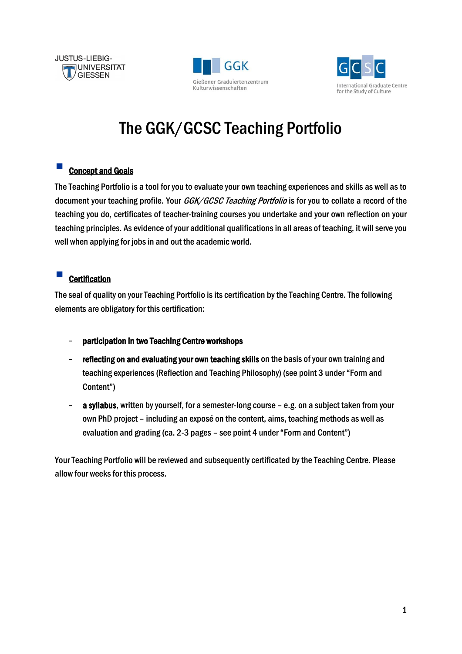





# The GGK/GCSC Teaching Portfolio

# Concept and Goals

The Teaching Portfolio is a tool for you to evaluate your own teaching experiences and skills as well as to document your teaching profile. Your *GGK/GCSC Teaching Portfolio* is for you to collate a record of the teaching you do, certificates of teacher-training courses you undertake and your own reflection on your teaching principles. As evidence of your additional qualifications in all areas of teaching, it will serve you well when applying for jobs in and out the academic world.

# **Certification**

The seal of quality on your Teaching Portfolio is its certification by the Teaching Centre. The following elements are obligatory for this certification:

- participation in two Teaching Centre workshops
- reflecting on and evaluating your own teaching skills on the basis of your own training and teaching experiences (Reflection and Teaching Philosophy) (see point 3 under "Form and Content")
- a syllabus, written by yourself, for a semester-long course e.g. on a subject taken from your own PhD project – including an exposé on the content, aims, teaching methods as well as evaluation and grading (ca. 2-3 pages – see point 4 under "Form and Content")

Your Teaching Portfolio will be reviewed and subsequently certificated by the Teaching Centre. Please allow four weeks for this process.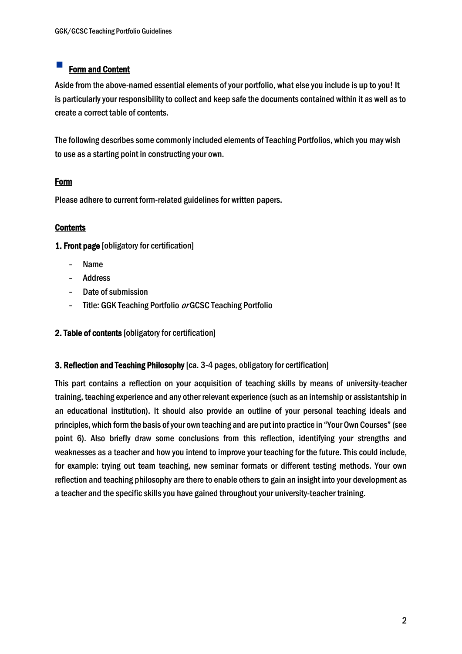# Form and Content

Aside from the above-named essential elements of your portfolio, what else you include is up to you! It is particularly your responsibility to collect and keep safe the documents contained within it as well as to create a correct table of contents.

The following describes some commonly included elements of Teaching Portfolios, which you may wish to use as a starting point in constructing your own.

## **Form**

Please adhere to current form-related guidelines for written papers.

# **Contents**

1. Front page [obligatory for certification]

- Name
- Address
- Date of submission
- Title: GGK Teaching Portfolio or GCSC Teaching Portfolio

## 2. Table of contents [obligatory for certification]

#### 3. Reflection and Teaching Philosophy [ca. 3-4 pages, obligatory for certification]

This part contains a reflection on your acquisition of teaching skills by means of university-teacher training, teaching experience and any other relevant experience (such as an internship or assistantship in an educational institution). It should also provide an outline of your personal teaching ideals and principles, which form the basis of your own teaching and are put into practice in "Your Own Courses" (see point 6). Also briefly draw some conclusions from this reflection, identifying your strengths and weaknesses as a teacher and how you intend to improve your teaching for the future. This could include, for example: trying out team teaching, new seminar formats or different testing methods. Your own reflection and teaching philosophy are there to enable others to gain an insight into your development as a teacher and the specific skills you have gained throughout your university-teacher training.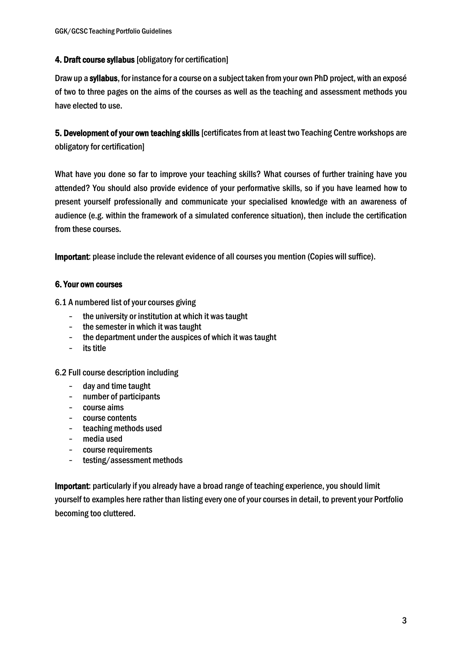## 4. Draft course syllabus [obligatory for certification]

Draw up a syllabus, for instance for a course on a subject taken from your own PhD project, with an exposé of two to three pages on the aims of the courses as well as the teaching and assessment methods you have elected to use.

5. Development of your own teaching skills [certificates from at least two Teaching Centre workshops are obligatory for certification]

What have you done so far to improve your teaching skills? What courses of further training have you attended? You should also provide evidence of your performative skills, so if you have learned how to present yourself professionally and communicate your specialised knowledge with an awareness of audience (e.g. within the framework of a simulated conference situation), then include the certification from these courses.

Important: please include the relevant evidence of all courses you mention (Copies will suffice).

#### 6. Your own courses

6.1 A numbered list of your courses giving

- the university or institution at which it was taught
- the semester in which it was taught
- the department under the auspices of which it was taught
- its title

6.2 Full course description including

- day and time taught
- number of participants
- course aims
- course contents
- teaching methods used
- media used
- course requirements
- testing/assessment methods

Important: particularly if you already have a broad range of teaching experience, you should limit yourself to examples here rather than listing every one of your courses in detail, to prevent your Portfolio becoming too cluttered.